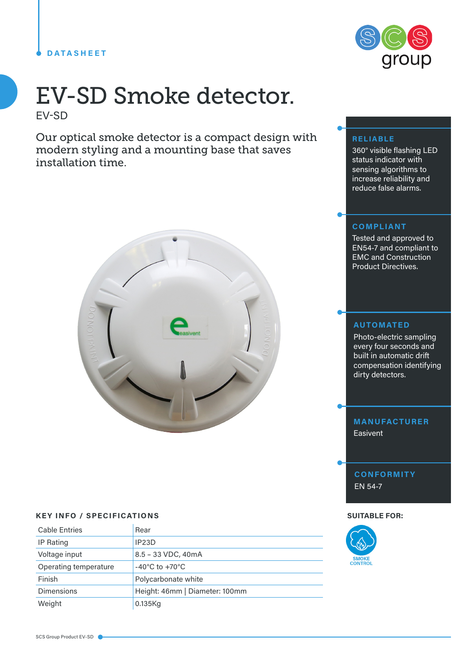### **DATASHEET**

# EV-SD Smoke detector. EV-SD

Our optical smoke detector is a compact design with modern styling and a mounting base that saves installation time.



## **KEY INFO / SPECIFICATIONS SUITABLE FOR:**

| <b>Cable Entries</b>  | Rear                               |
|-----------------------|------------------------------------|
| IP Rating             | IP <sub>23</sub> D                 |
| Voltage input         | 8.5 - 33 VDC, 40mA                 |
| Operating temperature | $-40^{\circ}$ C to $+70^{\circ}$ C |
| Finish                | Polycarbonate white                |
| <b>Dimensions</b>     | Height: 46mm   Diameter: 100mm     |
| Weight                | 0.135Kg                            |



### **RELIABLE**

360° visible flashing LED status indicator with sensing algorithms to increase reliability and reduce false alarms.

#### **COMPLIANT**

Tested and approved to EN54-7 and compliant to EMC and Construction Product Directives.

#### **AUTOMATED**

Photo-electric sampling every four seconds and built in automatic drift compensation identifying dirty detectors.

**MANUFACTURER** Easivent

**CONFORMITY** EN 54-7